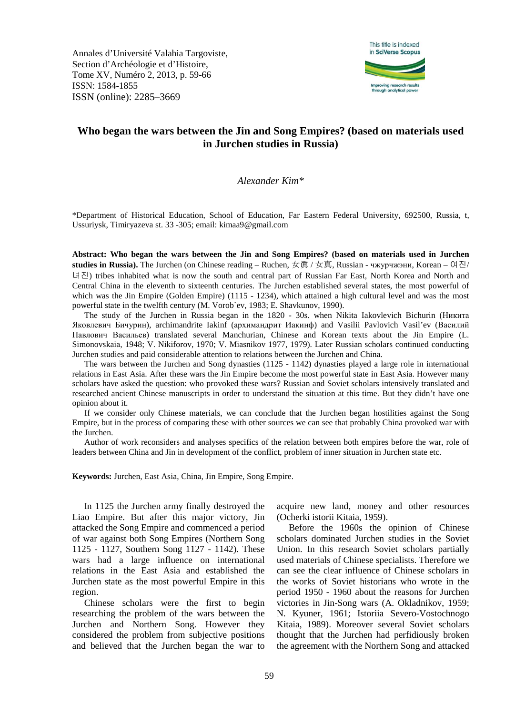Annales d'Université Valahia Targoviste, Section d'Archéologie et d'Histoire, Tome XV, Numéro 2, 2013, p. 59-66 ISSN: 1584-1855 ISSN (online): 2285–3669



# **Who began the wars between the Jin and Song Empires? (based on materials used in Jurchen studies in Russia)**

## *Alexander Kim\**

\*Department of Historical Education, School of Education, Far Eastern Federal University, 692500, Russia, t, Ussuriysk, Timiryazeva st. 33 -305; email: kimaa9@gmail.com

**Abstract: Who began the wars between the Jin and Song Empires? (based on materials used in Jurchen studies in Russia).** The Jurchen (on Chinese reading – Ruchen, 女眞 / 女真, Russian - чжурчжэни, Korean – 여진/ 녀진) tribes inhabited what is now the south and central part of Russian Far East, North Korea and North and Central China in the eleventh to sixteenth centuries. The Jurchen established several states, the most powerful of which was the Jin Empire (Golden Empire) (1115 - 1234), which attained a high cultural level and was the most powerful state in the twelfth century (M. Vorob`ev, 1983; E. Shavkunov, 1990).

The study of the Jurchen in Russia began in the 1820 - 30s. when Nikita Iakovlevich Bichurin (Никита Яковлевич Бичурин), archimandrite Iakinf (архимандрит Иакинф) and Vasilii Pavlovich Vasil'ev (Василий Павлович Васильев) translated several Manchurian, Chinese and Korean texts about the Jin Empire (L. Simonovskaia, 1948; V. Nikiforov, 1970; V. Miasnikov 1977, 1979). Later Russian scholars continued conducting Jurchen studies and paid considerable attention to relations between the Jurchen and China.

The wars between the Jurchen and Song dynasties (1125 - 1142) dynasties played a large role in international relations in East Asia. After these wars the Jin Empire become the most powerful state in East Asia. However many scholars have asked the question: who provoked these wars? Russian and Soviet scholars intensively translated and researched ancient Chinese manuscripts in order to understand the situation at this time. But they didn't have one opinion about it.

If we consider only Chinese materials, we can conclude that the Jurchen began hostilities against the Song Empire, but in the process of comparing these with other sources we can see that probably China provoked war with the Jurchen.

Author of work reconsiders and analyses specifics of the relation between both empires before the war, role of leaders between China and Jin in development of the conflict, problem of inner situation in Jurchen state etc.

**Keywords:** Jurchen, East Asia, China, Jin Empire, Song Empire.

In 1125 the Jurchen army finally destroyed the Liao Empire. But after this major victory, Jin attacked the Song Empire and commenced a period of war against both Song Empires (Northern Song 1125 - 1127, Southern Song 1127 - 1142). These wars had a large influence on international relations in the East Asia and established the Jurchen state as the most powerful Empire in this region.

Chinese scholars were the first to begin researching the problem of the wars between the Jurchen and Northern Song. However they considered the problem from subjective positions and believed that the Jurchen began the war to acquire new land, money and other resources (Ocherki istorii Kitaia, 1959).

Before the 1960s the opinion of Chinese scholars dominated Jurchen studies in the Soviet Union. In this research Soviet scholars partially used materials of Chinese specialists. Therefore we can see the clear influence of Chinese scholars in the works of Soviet historians who wrote in the period 1950 - 1960 about the reasons for Jurchen victories in Jin-Song wars (A. Okladnikov, 1959; N. Kyuner, 1961; Istoriia Severo-Vostochnogo Kitaia, 1989). Moreover several Soviet scholars thought that the Jurchen had perfidiously broken the agreement with the Northern Song and attacked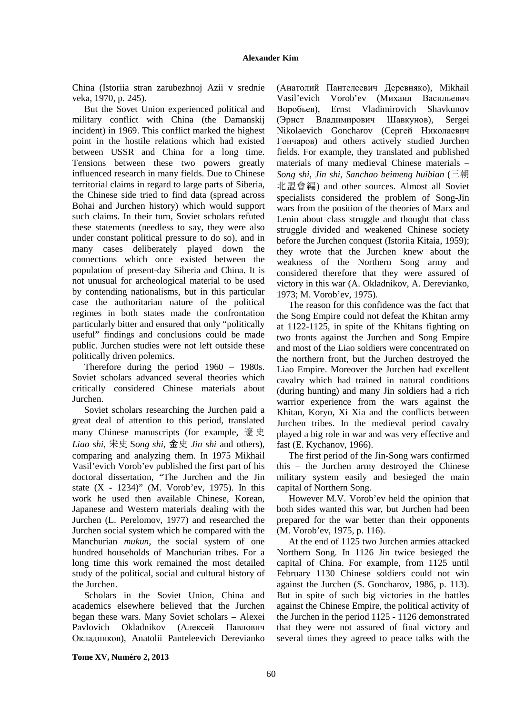China (Istoriia stran zarubezhnoj Azii v srednie veka, 1970, p. 245).

But the Sovet Union experienced political and military conflict with China (the Damanskij incident) in 1969. This conflict marked the highest point in the hostile relations which had existed between USSR and China for a long time. Tensions between these two powers greatly influenced research in many fields. Due to Chinese territorial claims in regard to large parts of Siberia, the Chinese side tried to find data (spread across Bohai and Jurchen history) which would support such claims. In their turn, Soviet scholars refuted these statements (needless to say, they were also under constant political pressure to do so), and in many cases deliberately played down the connections which once existed between the population of present-day Siberia and China. It is not unusual for archeological material to be used by contending nationalisms, but in this particular case the authoritarian nature of the political regimes in both states made the confrontation particularly bitter and ensured that only "politically useful" findings and conclusions could be made public. Jurchen studies were not left outside these politically driven polemics.

Therefore during the period 1960 – 1980s. Soviet scholars advanced several theories which critically considered Chinese materials about Jurchen.

Soviet scholars researching the Jurchen paid a great deal of attention to this period, translated many Chinese manuscripts (for example, 遼史 *Liao shi*, 宋史 S*ong shi*, 金史 *Jin shi* and others), comparing and analyzing them. In 1975 Mikhail Vasil'evich Vorob'ev published the first part of his doctoral dissertation, "The Jurchen and the Jin state (X - 1234)" (M. Vorob'ev, 1975). In this work he used then available Chinese, Korean, Japanese and Western materials dealing with the Jurchen (L. Perelomov, 1977) and researched the Jurchen social system which he compared with the Manchurian *mukun*, the social system of one hundred households of Manchurian tribes. For a long time this work remained the most detailed study of the political, social and cultural history of the Jurchen.

Scholars in the Soviet Union, China and academics elsewhere believed that the Jurchen began these wars. Many Soviet scholars – Alexei Pavlovich Okladnikov (Алексей Павлович Окладников), Anatolii Panteleevich Derevianko (Анатолий Пантелеевич Деревняко), Mikhail Vasil'evich Vorob'ev (Михаил Васильевич Воробьев), Ernst Vladimirovich Shavkunov (Эрнст Владимирович Шавкунов), Sergei Nikolaevich Goncharov (Сергей Николаевич Гончаров) and others actively studied Jurchen fields. For example, they translated and published materials of many medieval Chinese materials – *Song shi*, *Jin shi*, *Sanchao beimeng huibian* (三朝 北盟會編) and other sources. Almost all Soviet specialists considered the problem of Song-Jin wars from the position of the theories of Marx and Lenin about class struggle and thought that class struggle divided and weakened Chinese society before the Jurchen conquest (Istoriia Kitaia, 1959); they wrote that the Jurchen knew about the weakness of the Northern Song army and considered therefore that they were assured of victory in this war (A. Okladnikov, A. Derevianko, 1973; M. Vorob'ev, 1975).

The reason for this confidence was the fact that the Song Empire could not defeat the Khitan army at 1122-1125, in spite of the Khitans fighting on two fronts against the Jurchen and Song Empire and most of the Liao soldiers were concentrated on the northern front, but the Jurchen destroyed the Liao Empire. Moreover the Jurchen had excellent cavalry which had trained in natural conditions (during hunting) and many Jin soldiers had a rich warrior experience from the wars against the Khitan, Koryo, Xi Xia and the conflicts between Jurchen tribes. In the medieval period cavalry played a big role in war and was very effective and fast (E. Kychanov, 1966).

The first period of the Jin-Song wars confirmed this – the Jurchen army destroyed the Chinese military system easily and besieged the main capital of Northern Song.

However M.V. Vorob'ev held the opinion that both sides wanted this war, but Jurchen had been prepared for the war better than their opponents (M. Vorob'ev, 1975, p. 116).

At the end of 1125 two Jurchen armies attacked Northern Song. In 1126 Jin twice besieged the capital of China. For example, from 1125 until February 1130 Chinese soldiers could not win against the Jurchen (S. Goncharov, 1986, p. 113). But in spite of such big victories in the battles against the Chinese Empire, the political activity of the Jurchen in the period 1125 - 1126 demonstrated that they were not assured of final victory and several times they agreed to peace talks with the

**Tome XV, Numéro 2, 2013**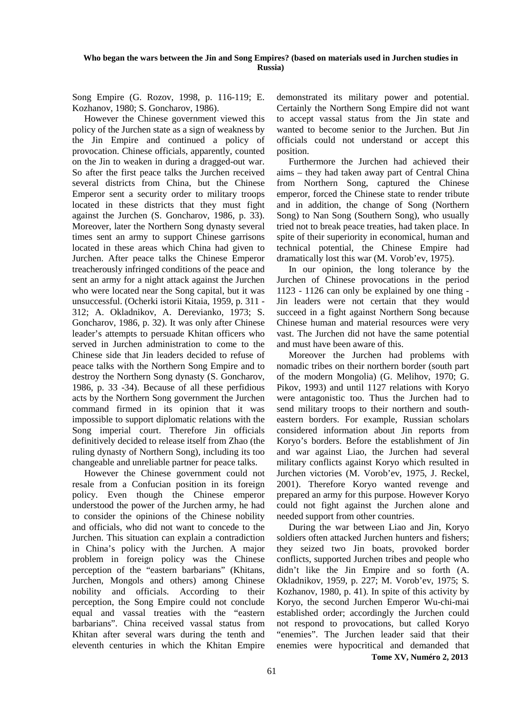## **Who began the wars between the Jin and Song Empires? (based on materials used in Jurchen studies in Russia)**

Song Empire (G. Rozov, 1998, p. 116-119; E. Kozhanov, 1980; S. Goncharov, 1986).

However the Chinese government viewed this policy of the Jurchen state as a sign of weakness by the Jin Empire and continued a policy of provocation. Chinese officials, apparently, counted on the Jin to weaken in during a dragged-out war. So after the first peace talks the Jurchen received several districts from China, but the Chinese Emperor sent a security order to military troops located in these districts that they must fight against the Jurchen (S. Goncharov, 1986, p. 33). Moreover, later the Northern Song dynasty several times sent an army to support Chinese garrisons located in these areas which China had given to Jurchen. After peace talks the Chinese Emperor treacherously infringed conditions of the peace and sent an army for a night attack against the Jurchen who were located near the Song capital, but it was unsuccessful. (Ocherki istorii Kitaia, 1959, p. 311 - 312; A. Okladnikov, A. Derevianko, 1973; S. Goncharov, 1986, p. 32). It was only after Chinese leader's attempts to persuade Khitan officers who served in Jurchen administration to come to the Chinese side that Jin leaders decided to refuse of peace talks with the Northern Song Empire and to destroy the Northern Song dynasty (S. Goncharov, 1986, p. 33 -34). Because of all these perfidious acts by the Northern Song government the Jurchen command firmed in its opinion that it was impossible to support diplomatic relations with the Song imperial court. Therefore Jin officials definitively decided to release itself from Zhao (the ruling dynasty of Northern Song), including its too changeable and unreliable partner for peace talks.

However the Chinese government could not resale from a Confucian position in its foreign policy. Even though the Chinese emperor understood the power of the Jurchen army, he had to consider the opinions of the Chinese nobility and officials, who did not want to concede to the Jurchen. This situation can explain a contradiction in China's policy with the Jurchen. A major problem in foreign policy was the Chinese perception of the "eastern barbarians" (Khitans, Jurchen, Mongols and others) among Chinese nobility and officials. According to their perception, the Song Empire could not conclude equal and vassal treaties with the "eastern barbarians". China received vassal status from Khitan after several wars during the tenth and eleventh centuries in which the Khitan Empire

demonstrated its military power and potential. Certainly the Northern Song Empire did not want to accept vassal status from the Jin state and wanted to become senior to the Jurchen. But Jin officials could not understand or accept this position.

Furthermore the Jurchen had achieved their aims – they had taken away part of Central China from Northern Song, captured the Chinese emperor, forced the Chinese state to render tribute and in addition, the change of Song (Northern Song) to Nan Song (Southern Song), who usually tried not to break peace treaties, had taken place. In spite of their superiority in economical, human and technical potential, the Chinese Empire had dramatically lost this war (M. Vorob'ev, 1975).

In our opinion, the long tolerance by the Jurchen of Chinese provocations in the period 1123 - 1126 can only be explained by one thing - Jin leaders were not certain that they would succeed in a fight against Northern Song because Chinese human and material resources were very vast. The Jurchen did not have the same potential and must have been aware of this.

Moreover the Jurchen had problems with nomadic tribes on their northern border (south part of the modern Mongolia) (G. Melihov, 1970; G. Pikov, 1993) and until 1127 relations with Koryo were antagonistic too. Thus the Jurchen had to send military troops to their northern and southeastern borders. For example, Russian scholars considered information about Jin reports from Koryo's borders. Before the establishment of Jin and war against Liao, the Jurchen had several military conflicts against Koryo which resulted in Jurchen victories (M. Vorob'ev, 1975, J. Reckel, 2001). Therefore Koryo wanted revenge and prepared an army for this purpose. However Koryo could not fight against the Jurchen alone and needed support from other countries.

 **Tome XV, Numéro 2, 2013**  During the war between Liao and Jin, Koryo soldiers often attacked Jurchen hunters and fishers; they seized two Jin boats, provoked border conflicts, supported Jurchen tribes and people who didn't like the Jin Empire and so forth (A. Okladnikov, 1959, p. 227; M. Vorob'ev, 1975; S. Kozhanov, 1980, p. 41). In spite of this activity by Koryo, the second Jurchen Emperor Wu-chi-mai established order; accordingly the Jurchen could not respond to provocations, but called Koryo "enemies". The Jurchen leader said that their enemies were hypocritical and demanded that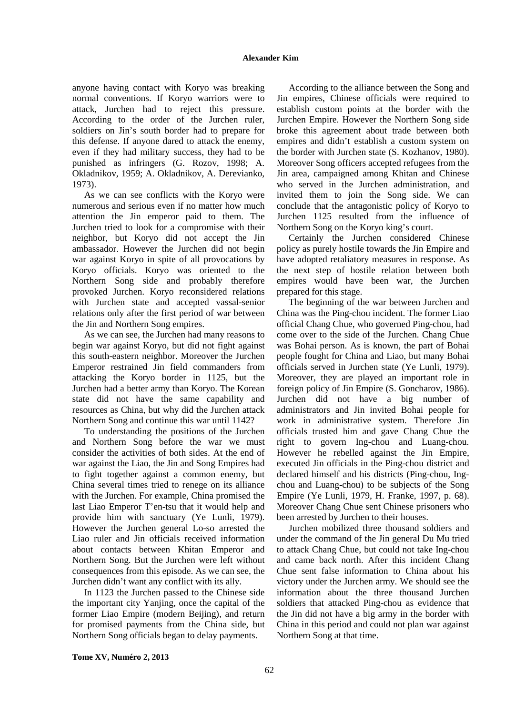#### **Alexander Kim**

anyone having contact with Koryo was breaking normal conventions. If Koryo warriors were to attack, Jurchen had to reject this pressure. According to the order of the Jurchen ruler, soldiers on Jin's south border had to prepare for this defense. If anyone dared to attack the enemy, even if they had military success, they had to be punished as infringers (G. Rozov, 1998; A. Okladnikov, 1959; A. Okladnikov, A. Derevianko, 1973).

As we can see conflicts with the Koryo were numerous and serious even if no matter how much attention the Jin emperor paid to them. The Jurchen tried to look for a compromise with their neighbor, but Koryo did not accept the Jin ambassador. However the Jurchen did not begin war against Koryo in spite of all provocations by Koryo officials. Koryo was oriented to the Northern Song side and probably therefore provoked Jurchen. Koryo reconsidered relations with Jurchen state and accepted vassal-senior relations only after the first period of war between the Jin and Northern Song empires.

As we can see, the Jurchen had many reasons to begin war against Koryo, but did not fight against this south-eastern neighbor. Moreover the Jurchen Emperor restrained Jin field commanders from attacking the Koryo border in 1125, but the Jurchen had a better army than Koryo. The Korean state did not have the same capability and resources as China, but why did the Jurchen attack Northern Song and continue this war until 1142?

To understanding the positions of the Jurchen and Northern Song before the war we must consider the activities of both sides. At the end of war against the Liao, the Jin and Song Empires had to fight together against a common enemy, but China several times tried to renege on its alliance with the Jurchen. For example, China promised the last Liao Emperor T'en-tsu that it would help and provide him with sanctuary (Ye Lunli, 1979). However the Jurchen general Lo-so arrested the Liao ruler and Jin officials received information about contacts between Khitan Emperor and Northern Song. But the Jurchen were left without consequences from this episode. As we can see, the Jurchen didn't want any conflict with its ally.

In 1123 the Jurchen passed to the Chinese side the important city Yanjing, once the capital of the former Liao Empire (modern Beijing), and return for promised payments from the China side, but Northern Song officials began to delay payments.

According to the alliance between the Song and Jin empires, Chinese officials were required to establish custom points at the border with the Jurchen Empire. However the Northern Song side broke this agreement about trade between both empires and didn't establish a custom system on the border with Jurchen state (S. Kozhanov, 1980). Moreover Song officers accepted refugees from the Jin area, campaigned among Khitan and Chinese who served in the Jurchen administration, and invited them to join the Song side. We can conclude that the antagonistic policy of Koryo to Jurchen 1125 resulted from the influence of Northern Song on the Koryo king's court.

Certainly the Jurchen considered Chinese policy as purely hostile towards the Jin Empire and have adopted retaliatory measures in response. As the next step of hostile relation between both empires would have been war, the Jurchen prepared for this stage.

The beginning of the war between Jurchen and China was the Ping-chou incident. The former Liao official Chang Chue, who governed Ping-chou, had come over to the side of the Jurchen. Chang Chue was Bohai person. As is known, the part of Bohai people fought for China and Liao, but many Bohai officials served in Jurchen state (Ye Lunli, 1979). Moreover, they are played an important role in foreign policy of Jin Empire (S. Goncharov, 1986). Jurchen did not have a big number of administrators and Jin invited Bohai people for work in administrative system. Therefore Jin officials trusted him and gave Chang Chue the right to govern Ing-chou and Luang-chou. However he rebelled against the Jin Empire, executed Jin officials in the Ping-chou district and declared himself and his districts (Ping-chou, Ingchou and Luang-chou) to be subjects of the Song Empire (Ye Lunli, 1979, H. Franke, 1997, p. 68). Moreover Chang Chue sent Chinese prisoners who been arrested by Jurchen to their houses.

Jurchen mobilized three thousand soldiers and under the command of the Jin general Du Mu tried to attack Chang Chue, but could not take Ing-chou and came back north. After this incident Chang Chue sent false information to China about his victory under the Jurchen army. We should see the information about the three thousand Jurchen soldiers that attacked Ping-chou as evidence that the Jin did not have a big army in the border with China in this period and could not plan war against Northern Song at that time.

**Tome XV, Numéro 2, 2013**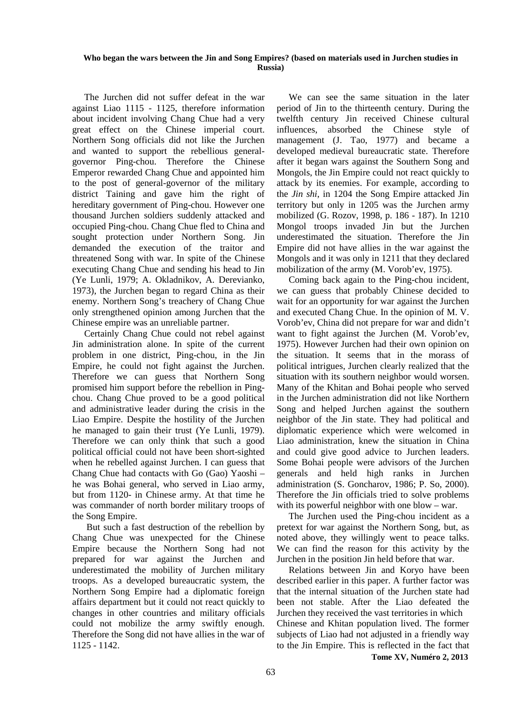#### **Who began the wars between the Jin and Song Empires? (based on materials used in Jurchen studies in Russia)**

The Jurchen did not suffer defeat in the war against Liao 1115 - 1125, therefore information about incident involving Chang Chue had a very great effect on the Chinese imperial court. Northern Song officials did not like the Jurchen and wanted to support the rebellious generalgovernor Ping-chou. Therefore the Chinese Emperor rewarded Chang Chue and appointed him to the post of general-governor of the military district Taining and gave him the right of hereditary government of Ping-chou. However one thousand Jurchen soldiers suddenly attacked and occupied Ping-chou. Chang Chue fled to China and sought protection under Northern Song. Jin demanded the execution of the traitor and threatened Song with war. In spite of the Chinese executing Chang Chue and sending his head to Jin (Ye Lunli, 1979; A. Okladnikov, A. Derevianko, 1973), the Jurchen began to regard China as their enemy. Northern Song's treachery of Chang Chue only strengthened opinion among Jurchen that the Chinese empire was an unreliable partner.

Certainly Chang Chue could not rebel against Jin administration alone. In spite of the current problem in one district, Ping-chou, in the Jin Empire, he could not fight against the Jurchen. Therefore we can guess that Northern Song promised him support before the rebellion in Pingchou. Chang Chue proved to be a good political and administrative leader during the crisis in the Liao Empire. Despite the hostility of the Jurchen he managed to gain their trust (Ye Lunli, 1979). Therefore we can only think that such a good political official could not have been short-sighted when he rebelled against Jurchen. I can guess that Chang Chue had contacts with Go (Gao) Yaoshi – he was Bohai general, who served in Liao army, but from 1120- in Chinese army. At that time he was commander of north border military troops of the Song Empire.

 But such a fast destruction of the rebellion by Chang Chue was unexpected for the Chinese Empire because the Northern Song had not prepared for war against the Jurchen and underestimated the mobility of Jurchen military troops. As a developed bureaucratic system, the Northern Song Empire had a diplomatic foreign affairs department but it could not react quickly to changes in other countries and military officials could not mobilize the army swiftly enough. Therefore the Song did not have allies in the war of 1125 - 1142.

We can see the same situation in the later period of Jin to the thirteenth century. During the twelfth century Jin received Chinese cultural influences, absorbed the Chinese style of management (J. Tao, 1977) and became a developed medieval bureaucratic state. Therefore after it began wars against the Southern Song and Mongols, the Jin Empire could not react quickly to attack by its enemies. For example, according to the *Jin shi*, in 1204 the Song Empire attacked Jin territory but only in 1205 was the Jurchen army mobilized (G. Rozov, 1998, p. 186 - 187). In 1210 Mongol troops invaded Jin but the Jurchen underestimated the situation. Therefore the Jin Empire did not have allies in the war against the Mongols and it was only in 1211 that they declared mobilization of the army (M. Vorob'ev, 1975).

Coming back again to the Ping-chou incident, we can guess that probably Chinese decided to wait for an opportunity for war against the Jurchen and executed Chang Chue. In the opinion of M. V. Vorob'ev, China did not prepare for war and didn't want to fight against the Jurchen (M. Vorob'ev, 1975). However Jurchen had their own opinion on the situation. It seems that in the morass of political intrigues, Jurchen clearly realized that the situation with its southern neighbor would worsen. Many of the Khitan and Bohai people who served in the Jurchen administration did not like Northern Song and helped Jurchen against the southern neighbor of the Jin state. They had political and diplomatic experience which were welcomed in Liao administration, knew the situation in China and could give good advice to Jurchen leaders. Some Bohai people were advisors of the Jurchen generals and held high ranks in Jurchen administration (S. Goncharov, 1986; P. So, 2000). Therefore the Jin officials tried to solve problems with its powerful neighbor with one blow – war.

The Jurchen used the Ping-chou incident as a pretext for war against the Northern Song, but, as noted above, they willingly went to peace talks. We can find the reason for this activity by the Jurchen in the position Jin held before that war.

 **Tome XV, Numéro 2, 2013**  Relations between Jin and Koryo have been described earlier in this paper. A further factor was that the internal situation of the Jurchen state had been not stable. After the Liao defeated the Jurchen they received the vast territories in which Chinese and Khitan population lived. The former subjects of Liao had not adjusted in a friendly way to the Jin Empire. This is reflected in the fact that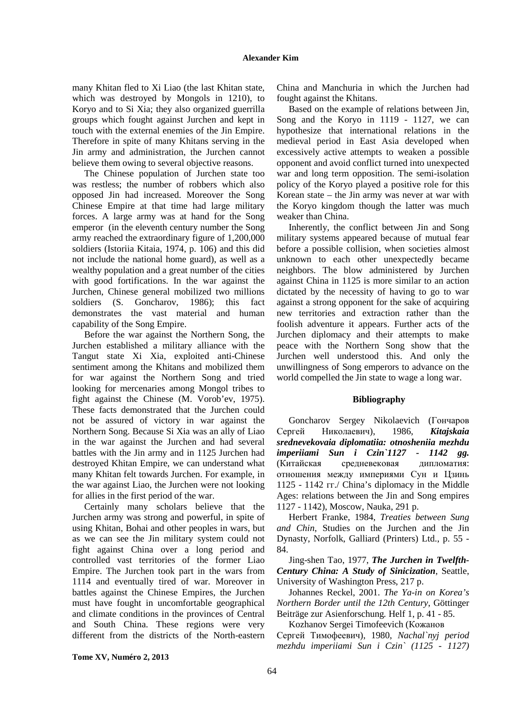many Khitan fled to Xi Liao (the last Khitan state, which was destroyed by Mongols in 1210), to Koryo and to Si Xia; they also organized guerrilla groups which fought against Jurchen and kept in touch with the external enemies of the Jin Empire. Therefore in spite of many Khitans serving in the Jin army and administration, the Jurchen cannot believe them owing to several objective reasons.

The Chinese population of Jurchen state too was restless; the number of robbers which also opposed Jin had increased. Moreover the Song Chinese Empire at that time had large military forces. A large army was at hand for the Song emperor (in the eleventh century number the Song army reached the extraordinary figure of 1,200,000 soldiers (Istoriia Kitaia, 1974, p. 106) and this did not include the national home guard), as well as a wealthy population and a great number of the cities with good fortifications. In the war against the Jurchen, Chinese general mobilized two millions soldiers (S. Goncharov, 1986); this fact demonstrates the vast material and human capability of the Song Empire.

Before the war against the Northern Song, the Jurchen established a military alliance with the Tangut state Xi Xia, exploited anti-Chinese sentiment among the Khitans and mobilized them for war against the Northern Song and tried looking for mercenaries among Mongol tribes to fight against the Chinese (M. Vorob'ev, 1975). These facts demonstrated that the Jurchen could not be assured of victory in war against the Northern Song. Because Si Xia was an ally of Liao in the war against the Jurchen and had several battles with the Jin army and in 1125 Jurchen had destroyed Khitan Empire, we can understand what many Khitan felt towards Jurchen. For example, in the war against Liao, the Jurchen were not looking for allies in the first period of the war.

Certainly many scholars believe that the Jurchen army was strong and powerful, in spite of using Khitan, Bohai and other peoples in wars, but as we can see the Jin military system could not fight against China over a long period and controlled vast territories of the former Liao Empire. The Jurchen took part in the wars from 1114 and eventually tired of war. Moreover in battles against the Chinese Empires, the Jurchen must have fought in uncomfortable geographical and climate conditions in the provinces of Central and South China. These regions were very different from the districts of the North-eastern China and Manchuria in which the Jurchen had fought against the Khitans.

Based on the example of relations between Jin, Song and the Koryo in 1119 - 1127, we can hypothesize that international relations in the medieval period in East Asia developed when excessively active attempts to weaken a possible opponent and avoid conflict turned into unexpected war and long term opposition. The semi-isolation policy of the Koryo played a positive role for this Korean state – the Jin army was never at war with the Koryo kingdom though the latter was much weaker than China.

Inherently, the conflict between Jin and Song military systems appeared because of mutual fear before a possible collision, when societies almost unknown to each other unexpectedly became neighbors. The blow administered by Jurchen against China in 1125 is more similar to an action dictated by the necessity of having to go to war against a strong opponent for the sake of acquiring new territories and extraction rather than the foolish adventure it appears. Further acts of the Jurchen diplomacy and their attempts to make peace with the Northern Song show that the Jurchen well understood this. And only the unwillingness of Song emperors to advance on the world compelled the Jin state to wage a long war.

### **Bibliography**

Goncharov Sergey Nikolaevich (Гончаров Сергей Николаевич), 1986, *Kitajskaia srednevekovaia diplomatiia: otnosheniia mezhdu imperiiami Sun i Czin`1127 - 1142 gg.* (Китайская средневековая дипломатия: отношения между империями Сун и Цзинь 1125 - 1142 гг./ China's diplomacy in the Middle Ages: relations between the Jin and Song empires 1127 - 1142), Moscow, Nauka, 291 p.

Herbert Franke, 1984, *Treaties between Sung and Chin*, Studies on the Jurchen and the Jin Dynasty, Norfolk, Galliard (Printers) Ltd., p. 55 - 84.

Jing-shen Tao, 1977, *The Jurchen in Twelfth-Century China: A Study of Sinicization*, Seattle, University of Washington Press, 217 p.

Johannes Reckel, 2001. *The Ya-in on Korea's Northern Border until the 12th Century*, Göttinger Beiträge zur Asienforschung*.* Helf 1, p. 41 - 85.

Kozhanov Sergei Timofeevich (Кожанов Сергей Тимофеевич), 1980, *Nachal`nyj period mezhdu imperiiami Sun i Czin` (1125 - 1127)*

**Tome XV, Numéro 2, 2013**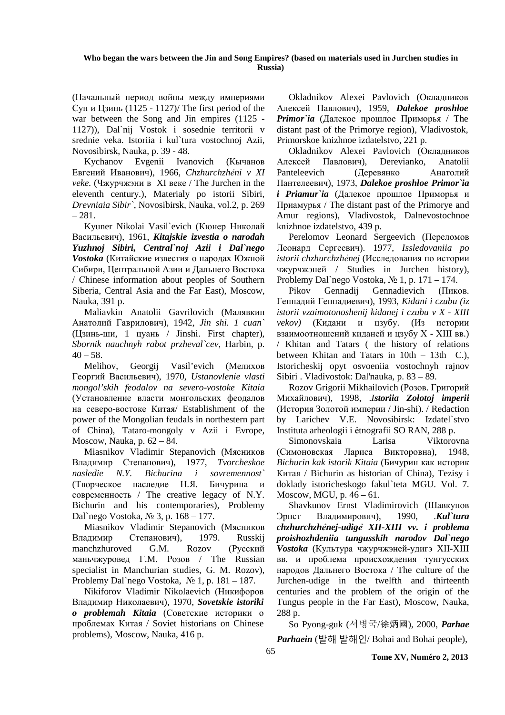#### **Who began the wars between the Jin and Song Empires? (based on materials used in Jurchen studies in Russia)**

(Начальный период войны между империями Сун и Цзинь (1125 - 1127)/ The first period of the war between the Song and Jin empires (1125 - 1127)), Dal`nij Vostok i sosednie territorii v srednie veka. Istoriia i kul`tura vostochnoj Azii, Novosibirsk, Nauka, p. 39 - 48.

Kychanov Evgenii Ivanovich (Кычанов Евгений Иванович), 1966, *Chzhurchzhẻni v XI veke.* (Чжурчжэни в XI веке / The Jurchen in the eleventh century.), Materialy po istorii Sibiri, *Drevniaia Sibir`*, Novosibirsk, Nauka, vol.2, p. 269  $-281.$ 

Kyuner Nikolai Vasil`evich (Кюнер Николай Васильевич), 1961, *Kitajskie izvestia o narodah Yuzhnoj Sibiri, Central`noj Azii i Dal`nego Vostoka* (Китайские известия о народах Южной Сибири, Центральной Азии и Дальнего Востока / Сhinese information about peoples of Southern Siberia, Central Asia and the Far East), Moscow, Nauka, 391 p.

Maliavkin Anatolii Gavrilovich (Малявкин Анатолий Гаврилович), 1942, *Jin shi. 1 cuan`* (Цзинь-ши, 1 цуань / Jinshi. First chapter), *Sbornik nauchnyh rabot przheval`cev*, Harbin, p.  $40 - 58$ .

Melihov, Georgij Vasil'evich (Мелихов Георгий Васильевич), 1970, *Ustanovlenie vlasti mongol'skih feodalov na severo-vostoke Kitaia* (Установление власти монгольских феодалов на северо-востоке Китая/ Establishment of the power of the Mongolian feudals in northestern part of China), Tataro-mongoly v Azii i Evrope, Moscow, Nauka, p. 62 – 84.

Miasnikov Vladimir Stepanovich (Мясников Владимир Степанович), 1977, *Tvorcheskoe nasledie N.Y. Bichurina i sovremennost`* (Творческое наследие Н.Я. Бичурина и современность / The creative legacy of N.Y. Bichurin and his contemporaries), Problemy Dal`nego Vostoka, № 3, p. 168 – 177.

Miasnikov Vladimir Stepanovich (Мясников Владимир Степанович), 1979. Russkij manchzhuroved G.M. Rozov (Русский маньчжуровед Г.М. Розов / The Russian specialist in Manchurian studies, G. M. Rozov), Problemy Dal`nego Vostoka, № 1, p. 181 – 187.

Nikiforov Vladimir Nikolaevich (Никифоров Владимир Николаевич), 1970, *Sovetskie istoriki o problemah Kitaia* (Советские историки о проблемах Китая / Soviet historians on Chinese problems), Moscow, Nauka, 416 p.

Okladnikov Alexei Pavlovich (Окладников Алексей Павлович), 1959, *Dalekoe proshloe Primor`ia* (Далекое прошлое Приморья / The distant past of the Primorye region), Vladivostok, Primorskoe knizhnoe izdatelstvo, 221 p.

Okladnikov Alexei Pavlovich (Окладников Алексей Павлович), Derevianko, Anatolii Panteleevich (Деревянко Анатолий Пантелеевич), 1973, *Dalekoe proshloe Primor`ia i Priamur`ia* (Далекое прошлое Приморья и Приамурья / The distant past of the Primorye and Amur regions), Vladivostok, Dalnevostochnoe knizhnoe izdatelstvo, 439 p.

Perelomov Leonard Sergeevich (Переломов Леонард Сергеевич). 1977, *Issledovaniia po istorii chzhurchzhẻnej* (Исследования по истории чжурчжэней / Studies in Jurchen history), Problemy Dal`nego Vostoka, № 1, p. 171 – 174.

Pikov Gennadii Gennadievich (Пиков. Геннадий Геннадиевич), 1993, *Kidani i czubu (iz istorii vzaimotonoshenij kidanej i czubu v X - XIII vekov)* (Кидани и цзубу. (Из истории взаимоотношений киданей и цзубу Х - ХIII вв.) / Khitan and Tatars ( the history of relations between Khitan and Tatars in 10th – 13th C.), Istoricheskij opyt osvoeniia vostochnyh rajnov Sibiri . Vladivostok: Dal'nauka, p. 83 – 89.

Rozov Grigorii Mikhailovich (Розов. Григорий Михайлович), 1998, .*Istoriia Zolotoj imperii*  (История Золотой империи / Jin-shi). / Redaction by Larichev V.E. Novosibirsk: Izdatel`stvo Instituta arheologii i ẻtnografii SO RAN, 288 p.

Simonovskaia Larisa Viktorovna (Симоновская Лариса Викторовна), 1948, *Bichurin kak istorik Kitaia* (Бичурин как историк Китая / Bichurin as historian of China), Tezisy i doklady istoricheskogo fakul`teta MGU. Vol. 7. Moscow, MGU, p. 46 – 61.

Shavkunov Ernst Vladimirovich (Шавкунов Эрнст Владимирович), 1990, *.Kul`tura chzhurchzhẻnej-udigẻ XII-XIII vv. i problema proishozhdeniia tungusskih narodov Dal`nego Vostoka* (Культура чжурчжэней-удигэ XII-XIII вв. и проблема происхождения тунгусских народов Дальнего Востока / The culture of the Jurchen-udige in the twelfth and thirteenth centuries and the problem of the origin of the Tungus people in the Far East), Moscow, Nauka, 288 p.

So Pyong-guk (서병국/蒮荞國), 2000, *Parhae Parhaein* (발해 발해인/ Bohai and Bohai people),